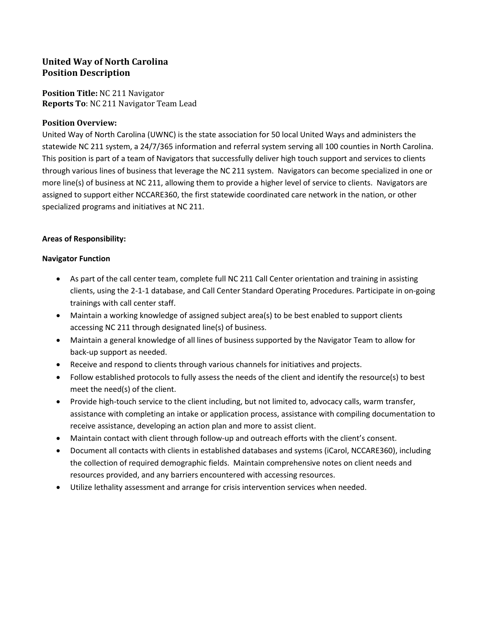# **United Way of North Carolina Position Description**

**Position Title:** NC 211 Navigator **Reports To**: NC 211 Navigator Team Lead

# **Position Overview:**

United Way of North Carolina (UWNC) is the state association for 50 local United Ways and administers the statewide NC 211 system, a 24/7/365 information and referral system serving all 100 counties in North Carolina. This position is part of a team of Navigators that successfully deliver high touch support and services to clients through various lines of business that leverage the NC 211 system. Navigators can become specialized in one or more line(s) of business at NC 211, allowing them to provide a higher level of service to clients. Navigators are assigned to support either NCCARE360, the first statewide coordinated care network in the nation, or other specialized programs and initiatives at NC 211.

### **Areas of Responsibility:**

#### **Navigator Function**

- As part of the call center team, complete full NC 211 Call Center orientation and training in assisting clients, using the 2-1-1 database, and Call Center Standard Operating Procedures. Participate in on-going trainings with call center staff.
- Maintain a working knowledge of assigned subject area(s) to be best enabled to support clients accessing NC 211 through designated line(s) of business.
- Maintain a general knowledge of all lines of business supported by the Navigator Team to allow for back-up support as needed.
- Receive and respond to clients through various channels for initiatives and projects.
- Follow established protocols to fully assess the needs of the client and identify the resource(s) to best meet the need(s) of the client.
- Provide high-touch service to the client including, but not limited to, advocacy calls, warm transfer, assistance with completing an intake or application process, assistance with compiling documentation to receive assistance, developing an action plan and more to assist client.
- Maintain contact with client through follow-up and outreach efforts with the client's consent.
- Document all contacts with clients in established databases and systems (iCarol, NCCARE360), including the collection of required demographic fields. Maintain comprehensive notes on client needs and resources provided, and any barriers encountered with accessing resources.
- Utilize lethality assessment and arrange for crisis intervention services when needed.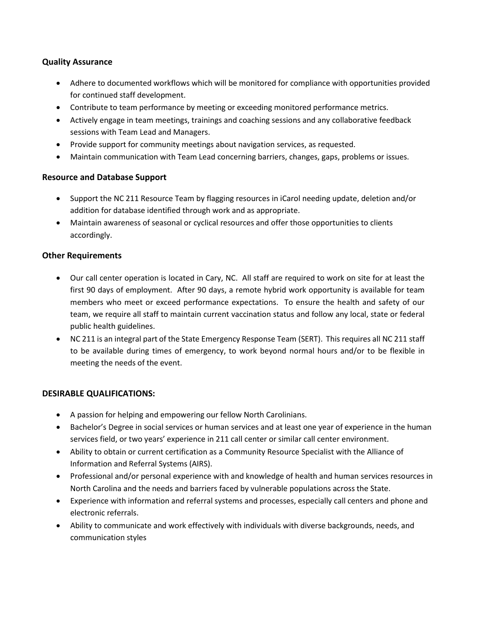# **Quality Assurance**

- Adhere to documented workflows which will be monitored for compliance with opportunities provided for continued staff development.
- Contribute to team performance by meeting or exceeding monitored performance metrics.
- Actively engage in team meetings, trainings and coaching sessions and any collaborative feedback sessions with Team Lead and Managers.
- Provide support for community meetings about navigation services, as requested.
- Maintain communication with Team Lead concerning barriers, changes, gaps, problems or issues.

# **Resource and Database Support**

- Support the NC 211 Resource Team by flagging resources in iCarol needing update, deletion and/or addition for database identified through work and as appropriate.
- Maintain awareness of seasonal or cyclical resources and offer those opportunities to clients accordingly.

### **Other Requirements**

- Our call center operation is located in Cary, NC. All staff are required to work on site for at least the first 90 days of employment. After 90 days, a remote hybrid work opportunity is available for team members who meet or exceed performance expectations. To ensure the health and safety of our team, we require all staff to maintain current vaccination status and follow any local, state or federal public health guidelines.
- NC 211 is an integral part of the State Emergency Response Team (SERT). This requires all NC 211 staff to be available during times of emergency, to work beyond normal hours and/or to be flexible in meeting the needs of the event.

#### **DESIRABLE QUALIFICATIONS:**

- A passion for helping and empowering our fellow North Carolinians.
- Bachelor's Degree in social services or human services and at least one year of experience in the human services field, or two years' experience in 211 call center or similar call center environment.
- Ability to obtain or current certification as a Community Resource Specialist with the Alliance of Information and Referral Systems (AIRS).
- Professional and/or personal experience with and knowledge of health and human services resources in North Carolina and the needs and barriers faced by vulnerable populations across the State.
- Experience with information and referral systems and processes, especially call centers and phone and electronic referrals.
- Ability to communicate and work effectively with individuals with diverse backgrounds, needs, and communication styles